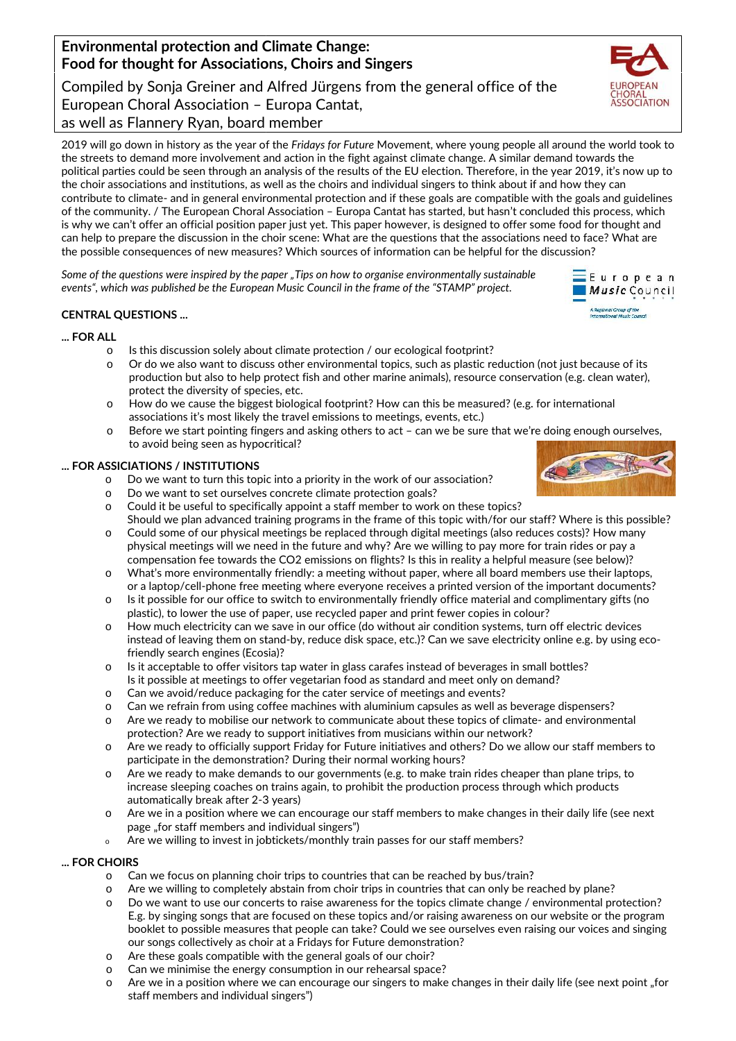# Compiled by Sonja Greiner and Alfred Jürgens from the general office of the Gorgian Choral Association – Europa Cantat,<br>European Choral Association – Europa Cantat,<br>as well as Flannery Ryan, board member European Choral Association – Europa Cantat, as well as Flannery Ryan, board member

2019 will go down in history as the year of the *Fridays for Future* Movement, where young people all around the world took to the streets to demand more involvement and action in the fight against climate change. A similar demand towards the 2019 will go down in history as the year of the Fridays for Future Movement, where young people all around the world took to<br>the streets to demand more involvement and action in the fight against climate change. A similar the choir associations and institutions, as well as the choirs and individual singers to think about if and how they can contribute to climate- and in general environmental protection and if these goals are compatible with the goals and guidelines of the community. / The European Choral Association – Europa Cantat has started, but hasn't concluded this process, which is why we can't offer an official position paper just yet. This paper however, is designed to offer some food for thought and can help to prepare the discussion in the choir scene: What are the questions that the associations need to face? What are the possible consequences of new measures? Which sources of information can be helpful for the discussion? the choir associations and institutions, as well as the choirs and individual singers to think about if and how they can<br>contribute to climate- and in general environmental protection and if these goals are compatible with

*Some of the questions were inspired by the paper "Tips on how to organise environmentally sustainable of inspired events", which was published be the European Music Council in the frame ofthe "STAMP" project. whichbe ofthe*

# **CENTRAL QUESTIONS ...**

## **... FOR ALLFOR**

- $\circ$  Is this discussion solely about climate protection / our ecological footprint?
- $\circ$   $\,$  Or do we also want to discuss other environmental topics, such as plastic reduction (not just because of its production but also to help protect fish and other marine animals), resource conservation (e.g. clean water), protect the diversity of species, etc. to prepare the discussion in the choir scene: What are the questions that the associations need to face? Will exonsequences of new measures? Which sources of information can be helpful for the discussion?<br>
the questions w
- o How do we cause the biggest biological footprint? How can this be measured? (e.g. for international associations it's most likely the travel emissions to meetings, events, etc.) o Before cause the biggest biological footprint? How can this be measured? (e.g. for international<br>associations it's most likely the travel emissions to meetings, events, etc.)<br>o Before we start pointing fingers and asking
- to avoid being seen as hypocritical?

# **... FOR ASSICIATIONS / INSTITUTIONS FORASSICIATIONS**

- $\circ$  Do we want to turn this topic into a priority in the work of our association?
- $\circ$   $\,$  Do we want to set ourselves concrete climate protection goals?  $\,$
- $\circ$  Could it be useful to specifically appoint a staff member to work on these topics?
- Should we plan advanced training programs in the frame of this topic with/for our staff? Where is this possible? o Could some of our physical meetings be replaced through digital meetings (also reduces costs)? How many physical meetings will we need in the future and why? Are we willing to pay more for train rides or pay a
- compensation fee towards the CO2 emissions on flights? Is this in reality a helpful measure (see below)? Is $\circ$  What's more environmentally friendly: a meeting without paper, where all board members use their laptops,
- or a laptop/cell-phone free meeting where everyone receives a printed version of the important documents?  $\circ$   $\;$  Is it possible for our office to switch to environmentally friendly office material and complimentary gifts (no
- plastic), to lower the use of paper, use recycled paper and print fewer copies in colour?  $\circ$   $\;$  How much electricity can we save in our office (do without air condition systems, turn off electric devices instead of leaving them on stand-by, reduce disk space, etc.)? Can we save electricity online e.g. by using eco-leaving friendly search engines (Ecosia)? at's more environmentally friendly: a<br>laptop/cell-phone free meeting whe<br>possible for our office to switch to e<br>tic), to lower the use of paper, use re<br>r w much electricity can we save in ou<br>aad of leaving them on stand-by
- o Is it acceptable to offer visitors tap water in glass carafes instead of beverages in small bottles?<br>Is it possible at meetings to offer vegetarian food as standard and meet only on demand? Is it possible at meetings to offer vegetarian food as standard and meet only on demand?
- $\circ$   $\;$  Can we avoid/reduce packaging for the cater service of meetings and events?
- $\circ$   $\;$  Can we refrain from using coffee machines with aluminium capsules as well as beverage dispensers?
- o Are we ready to mobilise our network to communicate about these topics of climate- and environmental<br>protection? Are we ready to support initiatives from musicians within our network? protection? Are we ready to support initiatives from musicians within our network?
- $\circ$   $\;$  Are we ready to officially support Friday for Future initiatives and others? Do we allow our staff members to participate in the demonstration? During their normal working hours?
- $\circ$  Are we ready to make demands to our governments (e.g. to make train rides cheaper than plane trips, to increase sleeping coaches on trains again, to prohibit the production process through which products<br>automatically break after 2-3 years) automatically break after 2-3 years)
- o Are we in a position where we can encourage our staff members to make changes in their daily life (see next<br>page "for staff members and individual singers")<br>o Are we willing to invest in jobtickets/monthly train passes f page "for staff members and individual singers")
- <sup>o</sup> Are we willing to invest in jobtickets/monthly train passes for our staff members?

## **... FOR CHOIRS FOR**

- o Can we focus on planning choir trips to countries that can be reached by bus/train?
- o Aan we focus on planning choir trips to countries that can be reached by bus/train?<br>o Are we willing to completely abstain from choir trips in countries that can only be reached by plane?
- o Do we want to use our concerts to raise awareness for the topics climate change / environmental protection? E.g. by singing songs that are focused on these topics and/or raising awareness on our website orthe program booklet to possible measures that people can take? Could we see ourselves even raising our voices and singing our songs collectively as choir at a Fridays for Future demonstration? to use our concerts to raise awareness for the topics climate change / environmental protection?<br><sub>I</sub>g songs that are focused on these topics and/or raising awareness on our website or the program<br>ossible measures that peop
- o Are these goals compatible with the general goals of our choir?
- o Can we minimise the energy consumption in our rehearsal space?
- $\circ$  Are we in a position where we can encourage our singers to make changes in their daily life (see next point "for staff members and individual singers") gs collectively as choir at a Fridays for Future demonstration?<br>ie goals compatible with the general goals of our choir?<br>minimise the energy consumption in our rehearsal space?<br>in a position where we can encourage our sing











**Environmental protection and Climate Change:**

**Food for thought for Associations, Choirs and Singers EnvironmentalprotectionthoughtforChoirs and**